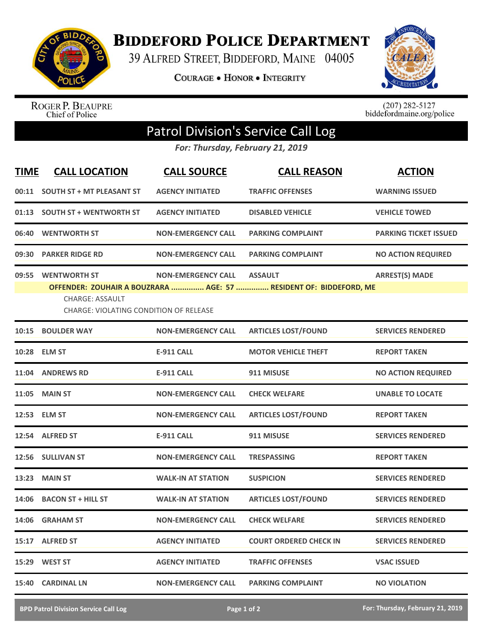

**BIDDEFORD POLICE DEPARTMENT** 

39 ALFRED STREET, BIDDEFORD, MAINE 04005

**COURAGE . HONOR . INTEGRITY** 



ROGER P. BEAUPRE<br>Chief of Police

 $(207)$  282-5127<br>biddefordmaine.org/police

## Patrol Division's Service Call Log

*For: Thursday, February 21, 2019*

| <b>TIME</b> | <b>CALL LOCATION</b>                          | <b>CALL SOURCE</b>         | <b>CALL REASON</b>                                                | <b>ACTION</b>                |
|-------------|-----------------------------------------------|----------------------------|-------------------------------------------------------------------|------------------------------|
|             | 00:11 SOUTH ST + MT PLEASANT ST               | <b>AGENCY INITIATED</b>    | <b>TRAFFIC OFFENSES</b>                                           | <b>WARNING ISSUED</b>        |
|             | 01:13 SOUTH ST + WENTWORTH ST                 | <b>AGENCY INITIATED</b>    | <b>DISABLED VEHICLE</b>                                           | <b>VEHICLE TOWED</b>         |
|             | 06:40 WENTWORTH ST                            | <b>NON-EMERGENCY CALL</b>  | <b>PARKING COMPLAINT</b>                                          | <b>PARKING TICKET ISSUED</b> |
|             | 09:30 PARKER RIDGE RD                         | <b>NON-EMERGENCY CALL</b>  | <b>PARKING COMPLAINT</b>                                          | <b>NO ACTION REQUIRED</b>    |
|             | 09:55 WENTWORTH ST<br>CHARGE: ASSAULT         | NON-EMERGENCY CALL ASSAULT | OFFENDER: ZOUHAIR A BOUZRARA  AGE: 57  RESIDENT OF: BIDDEFORD, ME | <b>ARREST(S) MADE</b>        |
|             | <b>CHARGE: VIOLATING CONDITION OF RELEASE</b> |                            |                                                                   |                              |
|             | 10:15 BOULDER WAY                             | <b>NON-EMERGENCY CALL</b>  | <b>ARTICLES LOST/FOUND</b>                                        | <b>SERVICES RENDERED</b>     |
|             | 10:28 ELM ST                                  | <b>E-911 CALL</b>          | <b>MOTOR VEHICLE THEFT</b>                                        | <b>REPORT TAKEN</b>          |
|             | 11:04 ANDREWS RD                              | <b>E-911 CALL</b>          | 911 MISUSE                                                        | <b>NO ACTION REQUIRED</b>    |
|             | 11:05 MAIN ST                                 | <b>NON-EMERGENCY CALL</b>  | <b>CHECK WELFARE</b>                                              | <b>UNABLE TO LOCATE</b>      |
|             | 12:53 ELM ST                                  | <b>NON-EMERGENCY CALL</b>  | <b>ARTICLES LOST/FOUND</b>                                        | <b>REPORT TAKEN</b>          |
|             | 12:54 ALFRED ST                               | <b>E-911 CALL</b>          | 911 MISUSE                                                        | <b>SERVICES RENDERED</b>     |
|             | 12:56 SULLIVAN ST                             | <b>NON-EMERGENCY CALL</b>  | <b>TRESPASSING</b>                                                | <b>REPORT TAKEN</b>          |
|             | <b>13:23 MAIN ST</b>                          | <b>WALK-IN AT STATION</b>  | <b>SUSPICION</b>                                                  | <b>SERVICES RENDERED</b>     |
|             | 14:06 BACON ST + HILL ST                      | <b>WALK-IN AT STATION</b>  | <b>ARTICLES LOST/FOUND</b>                                        | <b>SERVICES RENDERED</b>     |
|             | 14:06 GRAHAM ST                               | <b>NON-EMERGENCY CALL</b>  | <b>CHECK WELFARE</b>                                              | <b>SERVICES RENDERED</b>     |
|             | 15:17 ALFRED ST                               | <b>AGENCY INITIATED</b>    | <b>COURT ORDERED CHECK IN</b>                                     | <b>SERVICES RENDERED</b>     |
|             | 15:29 WEST ST                                 | <b>AGENCY INITIATED</b>    | <b>TRAFFIC OFFENSES</b>                                           | <b>VSAC ISSUED</b>           |
| 15:40       | <b>CARDINAL LN</b>                            | NON-EMERGENCY CALL         | <b>PARKING COMPLAINT</b>                                          | <b>NO VIOLATION</b>          |